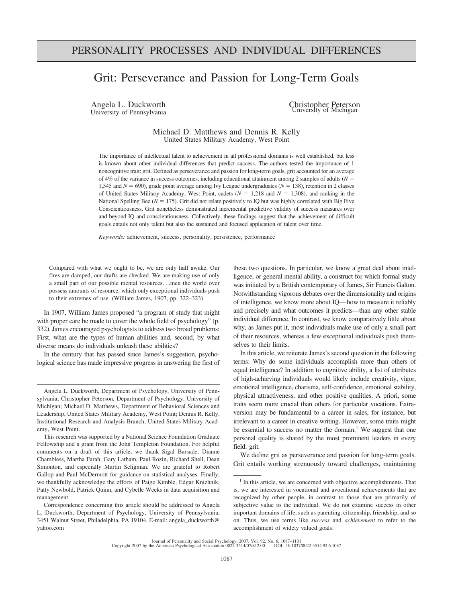# PERSONALITY PROCESSES AND INDIVIDUAL DIFFERENCES

# Grit: Perseverance and Passion for Long-Term Goals

Angela L. Duckworth University of Pennsylvania Christopher Peterson University of Michigan

Michael D. Matthews and Dennis R. Kelly United States Military Academy, West Point

The importance of intellectual talent to achievement in all professional domains is well established, but less is known about other individual differences that predict success. The authors tested the importance of 1 noncognitive trait: grit. Defined as perseverance and passion for long-term goals, grit accounted for an average of 4% of the variance in success outcomes, including educational attainment among 2 samples of adults ( $N =$ 1,545 and  $N = 690$ ), grade point average among Ivy League undergraduates ( $N = 138$ ), retention in 2 classes of United States Military Academy, West Point, cadets  $(N = 1,218$  and  $N = 1,308)$ , and ranking in the National Spelling Bee  $(N = 175)$ . Grit did not relate positively to IQ but was highly correlated with Big Five Conscientiousness. Grit nonetheless demonstrated incremental predictive validity of success measures over and beyond IQ and conscientiousness. Collectively, these findings suggest that the achievement of difficult goals entails not only talent but also the sustained and focused application of talent over time.

*Keywords:* achievement, success, personality, persistence, performance

Compared with what we ought to be, we are only half awake. Our fires are damped, our drafts are checked. We are making use of only a small part of our possible mental resources. . .men the world over possess amounts of resource, which only exceptional individuals push to their extremes of use. (William James, 1907, pp. 322–323)

In 1907, William James proposed "a program of study that might with proper care be made to cover the whole field of psychology" (p. 332). James encouraged psychologists to address two broad problems: First, what are the types of human abilities and, second, by what diverse means do individuals unleash these abilities?

In the century that has passed since James's suggestion, psychological science has made impressive progress in answering the first of these two questions. In particular, we know a great deal about intelligence, or general mental ability, a construct for which formal study was initiated by a British contemporary of James, Sir Francis Galton. Notwithstanding vigorous debates over the dimensionality and origins of intelligence, we know more about IQ— how to measure it reliably and precisely and what outcomes it predicts—than any other stable individual difference. In contrast, we know comparatively little about why, as James put it, most individuals make use of only a small part of their resources, whereas a few exceptional individuals push themselves to their limits.

In this article, we reiterate James's second question in the following terms: Why do some individuals accomplish more than others of equal intelligence? In addition to cognitive ability, a list of attributes of high-achieving individuals would likely include creativity, vigor, emotional intelligence, charisma, self-confidence, emotional stability, physical attractiveness, and other positive qualities. A priori, some traits seem more crucial than others for particular vocations. Extraversion may be fundamental to a career in sales, for instance, but irrelevant to a career in creative writing. However, some traits might be essential to success no matter the domain.<sup>1</sup> We suggest that one personal quality is shared by the most prominent leaders in every field: grit.

We define grit as perseverance and passion for long-term goals. Grit entails working strenuously toward challenges, maintaining

Angela L. Duckworth, Department of Psychology, University of Pennsylvania; Christopher Peterson, Department of Psychology, University of Michigan; Michael D. Matthews, Department of Behavioral Sciences and Leadership, United States Military Academy, West Point; Dennis R. Kelly, Institutional Research and Analysis Branch, United States Military Academy, West Point.

This research was supported by a National Science Foundation Graduate Fellowship and a grant from the John Templeton Foundation. For helpful comments on a draft of this article, we thank Sigal Barsade, Dianne Chambless, Martha Farah, Gary Latham, Paul Rozin, Richard Shell, Dean Simonton, and especially Martin Seligman. We are grateful to Robert Gallop and Paul McDermott for guidance on statistical analyses. Finally, we thankfully acknowledge the efforts of Paige Kimble, Edgar Knizhnik, Patty Newbold, Patrick Quinn, and Cybelle Weeks in data acquisition and management.

Correspondence concerning this article should be addressed to Angela L. Duckworth, Department of Psychology, University of Pennsylvania, 3451 Walnut Street, Philadelphia, PA 19104. E-mail: angela\_duckworth@ yahoo.com

<sup>&</sup>lt;sup>1</sup> In this article, we are concerned with objective accomplishments. That is, we are interested in vocational and avocational achievements that are recognized by other people, in contrast to those that are primarily of subjective value to the individual. We do not examine success in other important domains of life, such as parenting, citizenship, friendship, and so on. Thus, we use terms like *success* and *achievement* to refer to the accomplishment of widely valued goals.

Journal of Personality and Social Psychology, 2007, Vol. 92, No. 6, 1087–1101 Copyright 2007 by the American Psychological Association 0022-3514/07/\$12.00 DOI: 10.1037/0022-3514.92.6.1087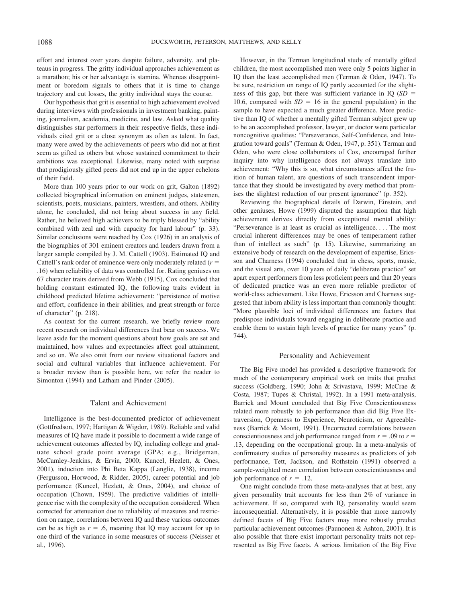effort and interest over years despite failure, adversity, and plateaus in progress. The gritty individual approaches achievement as a marathon; his or her advantage is stamina. Whereas disappointment or boredom signals to others that it is time to change trajectory and cut losses, the gritty individual stays the course.

Our hypothesis that grit is essential to high achievement evolved during interviews with professionals in investment banking, painting, journalism, academia, medicine, and law. Asked what quality distinguishes star performers in their respective fields, these individuals cited grit or a close synonym as often as talent. In fact, many were awed by the achievements of peers who did not at first seem as gifted as others but whose sustained commitment to their ambitions was exceptional. Likewise, many noted with surprise that prodigiously gifted peers did not end up in the upper echelons of their field.

More than 100 years prior to our work on grit, Galton (1892) collected biographical information on eminent judges, statesmen, scientists, poets, musicians, painters, wrestlers, and others. Ability alone, he concluded, did not bring about success in any field. Rather, he believed high achievers to be triply blessed by "ability combined with zeal and with capacity for hard labour" (p. 33). Similar conclusions were reached by Cox (1926) in an analysis of the biographies of 301 eminent creators and leaders drawn from a larger sample compiled by J. M. Cattell (1903). Estimated IQ and Cattell's rank order of eminence were only moderately related (*r* .16) when reliability of data was controlled for. Rating geniuses on 67 character traits derived from Webb (1915), Cox concluded that holding constant estimated IQ, the following traits evident in childhood predicted lifetime achievement: "persistence of motive and effort, confidence in their abilities, and great strength or force of character" (p. 218).

As context for the current research, we briefly review more recent research on individual differences that bear on success. We leave aside for the moment questions about how goals are set and maintained, how values and expectancies affect goal attainment, and so on. We also omit from our review situational factors and social and cultural variables that influence achievement. For a broader review than is possible here, we refer the reader to Simonton (1994) and Latham and Pinder (2005).

# Talent and Achievement

Intelligence is the best-documented predictor of achievement (Gottfredson, 1997; Hartigan & Wigdor, 1989). Reliable and valid measures of IQ have made it possible to document a wide range of achievement outcomes affected by IQ, including college and graduate school grade point average (GPA; e.g., Bridgeman, McCamley-Jenkins, & Ervin, 2000; Kuncel, Hezlett, & Ones, 2001), induction into Phi Beta Kappa (Langlie, 1938), income (Fergusson, Horwood, & Ridder, 2005), career potential and job performance (Kuncel, Hezlett, & Ones, 2004), and choice of occupation (Chown, 1959). The predictive validities of intelligence rise with the complexity of the occupation considered. When corrected for attenuation due to reliability of measures and restriction on range, correlations between IQ and these various outcomes can be as high as  $r = .6$ , meaning that IQ may account for up to one third of the variance in some measures of success (Neisser et al., 1996).

However, in the Terman longitudinal study of mentally gifted children, the most accomplished men were only 5 points higher in IQ than the least accomplished men (Terman & Oden, 1947). To be sure, restriction on range of IQ partly accounted for the slightness of this gap, but there was sufficient variance in IQ (*SD* 10.6, compared with  $SD = 16$  in the general population) in the sample to have expected a much greater difference. More predictive than IQ of whether a mentally gifted Terman subject grew up to be an accomplished professor, lawyer, or doctor were particular noncognitive qualities: "Perseverance, Self-Confidence, and Integration toward goals" (Terman & Oden, 1947, p. 351). Terman and Oden, who were close collaborators of Cox, encouraged further inquiry into why intelligence does not always translate into achievement: "Why this is so, what circumstances affect the fruition of human talent, are questions of such transcendent importance that they should be investigated by every method that promises the slightest reduction of our present ignorance" (p. 352).

Reviewing the biographical details of Darwin, Einstein, and other geniuses, Howe (1999) disputed the assumption that high achievement derives directly from exceptional mental ability: "Perseverance is at least as crucial as intelligence. . . . The most crucial inherent differences may be ones of temperament rather than of intellect as such" (p. 15). Likewise, summarizing an extensive body of research on the development of expertise, Ericsson and Charness (1994) concluded that in chess, sports, music, and the visual arts, over 10 years of daily "deliberate practice" set apart expert performers from less proficient peers and that 20 years of dedicated practice was an even more reliable predictor of world-class achievement. Like Howe, Ericsson and Charness suggested that inborn ability is less important than commonly thought: "More plausible loci of individual differences are factors that predispose individuals toward engaging in deliberate practice and enable them to sustain high levels of practice for many years" (p. 744).

# Personality and Achievement

The Big Five model has provided a descriptive framework for much of the contemporary empirical work on traits that predict success (Goldberg, 1990; John & Srivastava, 1999; McCrae & Costa, 1987; Tupes & Christal, 1992). In a 1991 meta-analysis, Barrick and Mount concluded that Big Five Conscientiousness related more robustly to job performance than did Big Five Extraversion, Openness to Experience, Neuroticism, or Agreeableness (Barrick & Mount, 1991). Uncorrected correlations between conscientiousness and job performance ranged from  $r = .09$  to  $r =$ .13, depending on the occupational group. In a meta-analysis of confirmatory studies of personality measures as predictors of job performance, Tett, Jackson, and Rothstein (1991) observed a sample-weighted mean correlation between conscientiousness and job performance of  $r = .12$ .

One might conclude from these meta-analyses that at best, any given personality trait accounts for less than 2% of variance in achievement. If so, compared with IQ, personality would seem inconsequential. Alternatively, it is possible that more narrowly defined facets of Big Five factors may more robustly predict particular achievement outcomes (Paunonen & Ashton, 2001). It is also possible that there exist important personality traits not represented as Big Five facets. A serious limitation of the Big Five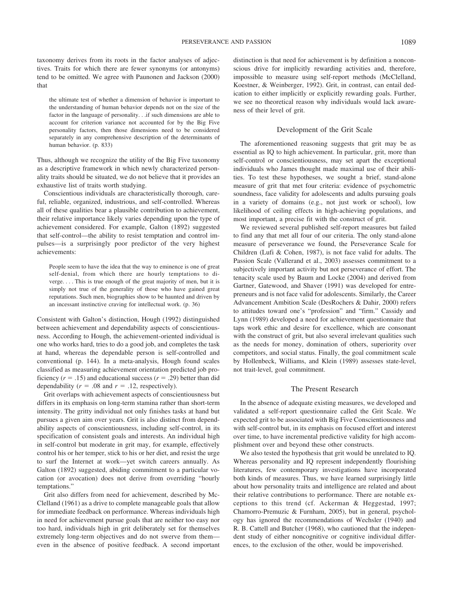taxonomy derives from its roots in the factor analyses of adjectives. Traits for which there are fewer synonyms (or antonyms) tend to be omitted. We agree with Paunonen and Jackson (2000) that

the ultimate test of whether a dimension of behavior is important to the understanding of human behavior depends not on the size of the factor in the language of personality. . .if such dimensions are able to account for criterion variance not accounted for by the Big Five personality factors, then those dimensions need to be considered separately in any comprehensive description of the determinants of human behavior. (p. 833)

Thus, although we recognize the utility of the Big Five taxonomy as a descriptive framework in which newly characterized personality traits should be situated, we do not believe that it provides an exhaustive list of traits worth studying.

Conscientious individuals are characteristically thorough, careful, reliable, organized, industrious, and self-controlled. Whereas all of these qualities bear a plausible contribution to achievement, their relative importance likely varies depending upon the type of achievement considered. For example, Galton (1892) suggested that self-control—the ability to resist temptation and control impulses—is a surprisingly poor predictor of the very highest achievements:

People seem to have the idea that the way to eminence is one of great self-denial, from which there are hourly temptations to diverge.... This is true enough of the great majority of men, but it is simply not true of the generality of those who have gained great reputations. Such men, biographies show to be haunted and driven by an incessant instinctive craving for intellectual work. (p. 36)

Consistent with Galton's distinction, Hough (1992) distinguished between achievement and dependability aspects of conscientiousness. According to Hough, the achievement-oriented individual is one who works hard, tries to do a good job, and completes the task at hand, whereas the dependable person is self-controlled and conventional (p. 144). In a meta-analysis, Hough found scales classified as measuring achievement orientation predicted job proficiency  $(r = .15)$  and educational success  $(r = .29)$  better than did dependability  $(r = .08$  and  $r = .12$ , respectively).

Grit overlaps with achievement aspects of conscientiousness but differs in its emphasis on long-term stamina rather than short-term intensity. The gritty individual not only finishes tasks at hand but pursues a given aim over years. Grit is also distinct from dependability aspects of conscientiousness, including self-control, in its specification of consistent goals and interests. An individual high in self-control but moderate in grit may, for example, effectively control his or her temper, stick to his or her diet, and resist the urge to surf the Internet at work—yet switch careers annually. As Galton (1892) suggested, abiding commitment to a particular vocation (or avocation) does not derive from overriding "hourly temptations."

Grit also differs from need for achievement, described by Mc-Clelland (1961) as a drive to complete manageable goals that allow for immediate feedback on performance. Whereas individuals high in need for achievement pursue goals that are neither too easy nor too hard, individuals high in grit deliberately set for themselves extremely long-term objectives and do not swerve from them even in the absence of positive feedback. A second important distinction is that need for achievement is by definition a nonconscious drive for implicitly rewarding activities and, therefore, impossible to measure using self-report methods (McClelland, Koestner, & Weinberger, 1992). Grit, in contrast, can entail dedication to either implicitly or explicitly rewarding goals. Further, we see no theoretical reason why individuals would lack awareness of their level of grit.

# Development of the Grit Scale

The aforementioned reasoning suggests that grit may be as essential as IQ to high achievement. In particular, grit, more than self-control or conscientiousness, may set apart the exceptional individuals who James thought made maximal use of their abilities. To test these hypotheses, we sought a brief, stand-alone measure of grit that met four criteria: evidence of psychometric soundness, face validity for adolescents and adults pursuing goals in a variety of domains (e.g., not just work or school), low likelihood of ceiling effects in high-achieving populations, and most important, a precise fit with the construct of grit.

We reviewed several published self-report measures but failed to find any that met all four of our criteria. The only stand-alone measure of perseverance we found, the Perseverance Scale for Children (Lufi & Cohen, 1987), is not face valid for adults. The Passion Scale (Vallerand et al., 2003) assesses commitment to a subjectively important activity but not perseverance of effort. The tenacity scale used by Baum and Locke (2004) and derived from Gartner, Gatewood, and Shaver (1991) was developed for entrepreneurs and is not face valid for adolescents. Similarly, the Career Advancement Ambition Scale (DesRochers & Dahir, 2000) refers to attitudes toward one's "profession" and "firm." Cassidy and Lynn (1989) developed a need for achievement questionnaire that taps work ethic and desire for excellence, which are consonant with the construct of grit, but also several irrelevant qualities such as the needs for money, domination of others, superiority over competitors, and social status. Finally, the goal commitment scale by Hollenbeck, Williams, and Klein (1989) assesses state-level, not trait-level, goal commitment.

#### The Present Research

In the absence of adequate existing measures, we developed and validated a self-report questionnaire called the Grit Scale. We expected grit to be associated with Big Five Conscientiousness and with self-control but, in its emphasis on focused effort and interest over time, to have incremental predictive validity for high accomplishment over and beyond these other constructs.

We also tested the hypothesis that grit would be unrelated to IQ. Whereas personality and IQ represent independently flourishing literatures, few contemporary investigations have incorporated both kinds of measures. Thus, we have learned surprisingly little about how personality traits and intelligence are related and about their relative contributions to performance. There are notable exceptions to this trend (cf. Ackerman & Heggestad, 1997; Chamorro-Premuzic & Furnham, 2005), but in general, psychology has ignored the recommendations of Wechsler (1940) and R. B. Cattell and Butcher (1968), who cautioned that the independent study of either noncognitive or cognitive individual differences, to the exclusion of the other, would be impoverished.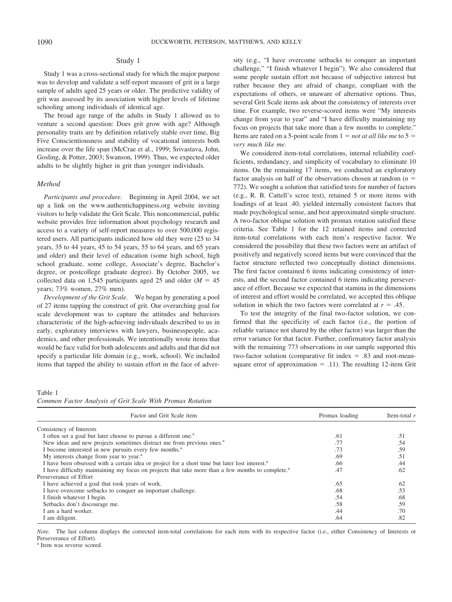# Study 1

Study 1 was a cross-sectional study for which the major purpose was to develop and validate a self-report measure of grit in a large sample of adults aged 25 years or older. The predictive validity of grit was assessed by its association with higher levels of lifetime schooling among individuals of identical age.

The broad age range of the adults in Study 1 allowed us to venture a second question: Does grit grow with age? Although personality traits are by definition relatively stable over time, Big Five Conscientiousness and stability of vocational interests both increase over the life span (McCrae et al., 1999; Srivastava, John, Gosling, & Potter, 2003; Swanson, 1999). Thus, we expected older adults to be slightly higher in grit than younger individuals.

#### *Method*

*Participants and procedure.* Beginning in April 2004, we set up a link on the www.authentichappiness.org website inviting visitors to help validate the Grit Scale. This noncommercial, public website provides free information about psychology research and access to a variety of self-report measures to over 500,000 registered users. All participants indicated how old they were (25 to 34 years, 35 to 44 years, 45 to 54 years, 55 to 64 years, and 65 years and older) and their level of education (some high school, high school graduate, some college, Associate's degree, Bachelor's degree, or postcollege graduate degree). By October 2005, we collected data on 1,545 participants aged 25 and older  $(M = 45)$ years; 73% women, 27% men).

*Development of the Grit Scale.* We began by generating a pool of 27 items tapping the construct of grit. Our overarching goal for scale development was to capture the attitudes and behaviors characteristic of the high-achieving individuals described to us in early, exploratory interviews with lawyers, businesspeople, academics, and other professionals. We intentionally wrote items that would be face valid for both adolescents and adults and that did not specify a particular life domain (e.g., work, school). We included items that tapped the ability to sustain effort in the face of adversity (e.g., "I have overcome setbacks to conquer an important challenge," "I finish whatever I begin"). We also considered that some people sustain effort not because of subjective interest but rather because they are afraid of change, compliant with the expectations of others, or unaware of alternative options. Thus, several Grit Scale items ask about the consistency of interests over time. For example, two reverse-scored items were "My interests change from year to year" and "I have difficulty maintaining my focus on projects that take more than a few months to complete." Items are rated on a 5-point scale from  $1 = not at all like me$  to  $5 =$ *very much like me*.

We considered item-total correlations, internal reliability coefficients, redundancy, and simplicity of vocabulary to eliminate 10 items. On the remaining 17 items, we conducted an exploratory factor analysis on half of the observations chosen at random (*n* 772). We sought a solution that satisfied tests for number of factors (e.g., R. B. Cattell's scree test), retained 5 or more items with loadings of at least .40, yielded internally consistent factors that made psychological sense, and best approximated simple structure. A two-factor oblique solution with promax rotation satisfied these criteria. See Table 1 for the 12 retained items and corrected item-total correlations with each item's respective factor. We considered the possibility that these two factors were an artifact of positively and negatively scored items but were convinced that the factor structure reflected two conceptually distinct dimensions. The first factor contained 6 items indicating consistency of interests, and the second factor contained 6 items indicating perseverance of effort. Because we expected that stamina in the dimensions of interest and effort would be correlated, we accepted this oblique solution in which the two factors were correlated at  $r = .45$ .

To test the integrity of the final two-factor solution, we confirmed that the specificity of each factor (i.e., the portion of reliable variance not shared by the other factor) was larger than the error variance for that factor. Further, confirmatory factor analysis with the remaining 773 observations in our sample supported this two-factor solution (comparative fit index  $= .83$  and root-meansquare error of approximation  $=$  .11). The resulting 12-item Grit

Table 1

|  |  |  |  |  |  |  | Common Factor Analysis of Grit Scale With Promax Rotation |  |
|--|--|--|--|--|--|--|-----------------------------------------------------------|--|
|--|--|--|--|--|--|--|-----------------------------------------------------------|--|

| Factor and Grit Scale item                                                                                    | Promax loading | Item-total $r$ |
|---------------------------------------------------------------------------------------------------------------|----------------|----------------|
| Consistency of Interests                                                                                      |                |                |
| I often set a goal but later choose to pursue a different one. <sup>a</sup>                                   | .61            | .51            |
| New ideas and new projects sometimes distract me from previous ones. <sup>a</sup>                             | .77            | .54            |
| I become interested in new pursuits every few months. <sup>a</sup>                                            | .73            | .59            |
| My interests change from year to year. <sup>a</sup>                                                           | .69            | .51            |
| I have been obsessed with a certain idea or project for a short time but later lost interest. <sup>a</sup>    | .66            | .44            |
| I have difficulty maintaining my focus on projects that take more than a few months to complete. <sup>a</sup> | .47            | .62            |
| Perseverance of Effort                                                                                        |                |                |
| I have achieved a goal that took years of work.                                                               | .65            | .62            |
| I have overcome setbacks to conquer an important challenge.                                                   | .68            | .53            |
| I finish whatever I begin.                                                                                    | .54            | .68            |
| Setbacks don't discourage me.                                                                                 | .58            | .59            |
| I am a hard worker.                                                                                           | .44            | .70            |
| I am diligent.                                                                                                | .64            | .82            |

*Note.* The last column displays the corrected item-total correlations for each item with its respective factor (i.e., either Consistency of Interests or Perseverance of Effort).

<sup>a</sup> Item was reverse scored.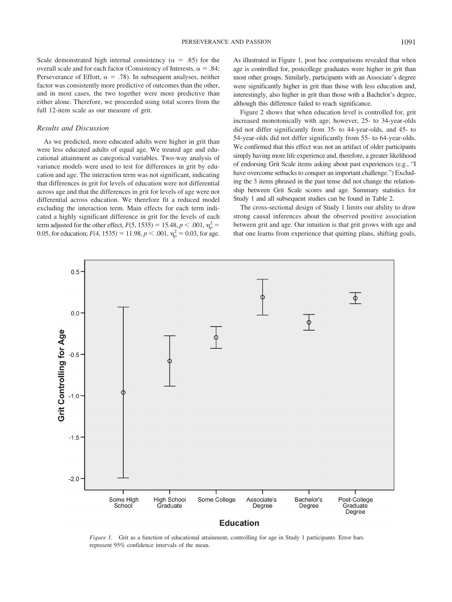Scale demonstrated high internal consistency ( $\alpha = .85$ ) for the overall scale and for each factor (Consistency of Interests,  $\alpha = .84$ ; Perseverance of Effort,  $\alpha = .78$ ). In subsequent analyses, neither factor was consistently more predictive of outcomes than the other, and in most cases, the two together were more predictive than either alone. Therefore, we proceeded using total scores from the full 12-item scale as our measure of grit.

#### *Results and Discussion*

As we predicted, more educated adults were higher in grit than were less educated adults of equal age. We treated age and educational attainment as categorical variables. Two-way analysis of variance models were used to test for differences in grit by education and age. The interaction term was not significant, indicating that differences in grit for levels of education were not differential across age and that the differences in grit for levels of age were not differential across education. We therefore fit a reduced model excluding the interaction term. Main effects for each term indicated a highly significant difference in grit for the levels of each term adjusted for the other effect,  $F(5, 1535) = 15.48, p < .001, \eta_p^2 =$ 0.05, for education;  $F(4, 1535) = 11.98$ ,  $p < .001$ ,  $\eta_p^2 = 0.03$ , for age.

As illustrated in Figure 1, post hoc comparisons revealed that when age is controlled for, postcollege graduates were higher in grit than most other groups. Similarly, participants with an Associate's degree were significantly higher in grit than those with less education and, interestingly, also higher in grit than those with a Bachelor's degree, although this difference failed to reach significance.

Figure 2 shows that when education level is controlled for, grit increased monotonically with age; however, 25- to 34-year-olds did not differ significantly from 35- to 44-year-olds, and 45- to 54-year-olds did not differ significantly from 55- to 64-year-olds. We confirmed that this effect was not an artifact of older participants simply having more life experience and, therefore, a greater likelihood of endorsing Grit Scale items asking about past experiences (e.g., "I have overcome setbacks to conquer an important challenge.") Excluding the 3 items phrased in the past tense did not change the relationship between Grit Scale scores and age. Summary statistics for Study 1 and all subsequent studies can be found in Table 2.

The cross-sectional design of Study 1 limits our ability to draw strong causal inferences about the observed positive association between grit and age. Our intuition is that grit grows with age and that one learns from experience that quitting plans, shifting goals,



*Figure 1.* Grit as a function of educational attainment, controlling for age in Study 1 participants. Error bars represent 95% confidence intervals of the mean.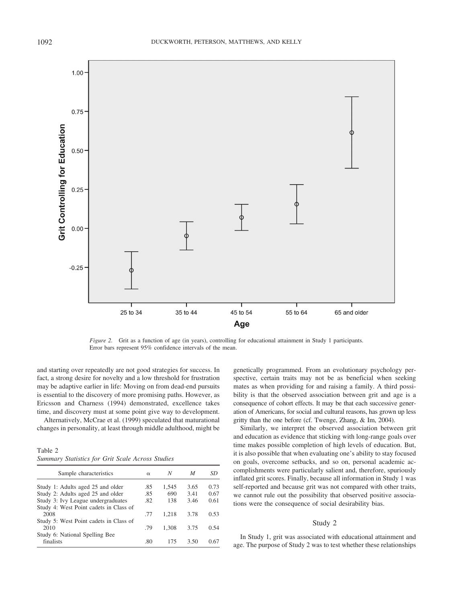

*Figure 2.* Grit as a function of age (in years), controlling for educational attainment in Study 1 participants. Error bars represent 95% confidence intervals of the mean.

and starting over repeatedly are not good strategies for success. In fact, a strong desire for novelty and a low threshold for frustration may be adaptive earlier in life: Moving on from dead-end pursuits is essential to the discovery of more promising paths. However, as Ericsson and Charness (1994) demonstrated, excellence takes time, and discovery must at some point give way to development.

Alternatively, McCrae et al. (1999) speculated that maturational changes in personality, at least through middle adulthood, might be

Table 2 *Summary Statistics for Grit Scale Across Studies*

| Sample characteristics                 | $\alpha$ | N     | M    | SD   |
|----------------------------------------|----------|-------|------|------|
| Study 1: Adults aged 25 and older      | .85      | 1,545 | 3.65 | 0.73 |
| Study 2: Adults aged 25 and older      | .85      | 690   | 3.41 | 0.67 |
| Study 3: Ivy League undergraduates     | .82      | 138   | 3.46 | 0.61 |
| Study 4: West Point cadets in Class of |          |       |      |      |
| 2008                                   | .77      | 1.218 | 3.78 | 0.53 |
| Study 5: West Point cadets in Class of |          |       |      |      |
| 2010                                   | .79      | 1.308 | 3.75 | 0.54 |
| Study 6: National Spelling Bee         |          |       |      |      |
| finalists                              | .80      | 175   | 3.50 | 0.67 |

genetically programmed. From an evolutionary psychology perspective, certain traits may not be as beneficial when seeking mates as when providing for and raising a family. A third possibility is that the observed association between grit and age is a consequence of cohort effects. It may be that each successive generation of Americans, for social and cultural reasons, has grown up less gritty than the one before (cf. Twenge, Zhang, & Im, 2004).

Similarly, we interpret the observed association between grit and education as evidence that sticking with long-range goals over time makes possible completion of high levels of education. But, it is also possible that when evaluating one's ability to stay focused on goals, overcome setbacks, and so on, personal academic accomplishments were particularly salient and, therefore, spuriously inflated grit scores. Finally, because all information in Study 1 was self-reported and because grit was not compared with other traits, we cannot rule out the possibility that observed positive associations were the consequence of social desirability bias.

# Study 2

In Study 1, grit was associated with educational attainment and age. The purpose of Study 2 was to test whether these relationships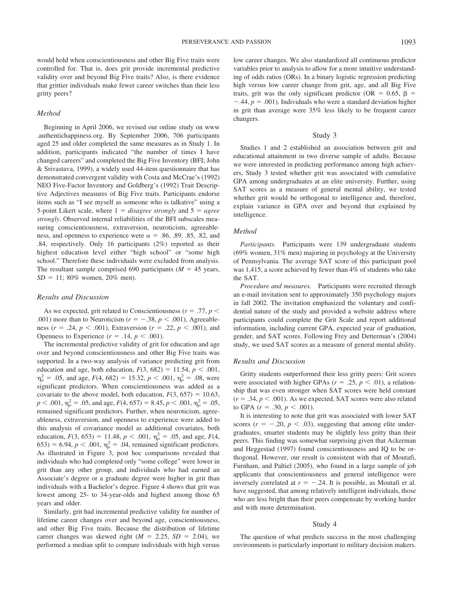would hold when conscientiousness and other Big Five traits were controlled for. That is, does grit provide incremental predictive validity over and beyond Big Five traits? Also, is there evidence that grittier individuals make fewer career switches than their less gritty peers?

#### *Method*

Beginning in April 2006, we revised our online study on www .authentichappiness.org. By September 2006, 706 participants aged 25 and older completed the same measures as in Study 1. In addition, participants indicated "the number of times I have changed careers" and completed the Big Five Inventory (BFI; John & Srivastava, 1999), a widely used 44-item questionnaire that has demonstrated convergent validity with Costa and McCrae's (1992) NEO Five-Factor Inventory and Goldberg's (1992) Trait Descriptive Adjectives measures of Big Five traits. Participants endorse items such as "I see myself as someone who is talkative" using a 5-point Likert scale, where  $1 = \text{disagree strongly}$  and  $5 = \text{agree}$ *strongly*. Observed internal reliabilities of the BFI subscales measuring conscientiousness, extraversion, neuroticism, agreeableness, and openness to experience were  $\alpha = .86, .89, .85, .82,$  and .84, respectively. Only 16 participants (2%) reported as their highest education level either "high school" or "some high school." Therefore these individuals were excluded from analysis. The resultant sample comprised 690 participants  $(M = 45$  years,  $SD = 11$ ; 80% women, 20% men).

# *Results and Discussion*

As we expected, grit related to Conscientiousness ( $r = .77$ ,  $p <$ .001) more than to Neuroticism ( $r = -.38$ ,  $p < .001$ ), Agreeableness ( $r = .24$ ,  $p < .001$ ), Extraversion ( $r = .22$ ,  $p < .001$ ), and Openness to Experience  $(r = .14, p < .001)$ .

The incremental predictive validity of grit for education and age over and beyond conscientiousness and other Big Five traits was supported. In a two-way analysis of variance predicting grit from education and age, both education,  $F(3, 682) = 11.54$ ,  $p < .001$ ,  $\eta_p^2 = .05$ , and age,  $F(4, 682) = 15.32, p < .001, \eta_p^2 = .08$ , were significant predictors. When conscientiousness was added as a covariate to the above model, both education,  $F(3, 657) = 10.63$ ,  $p < .001$ ,  $\eta_p^2 = .05$ , and age,  $F(4, 657) = 8.45$ ,  $p < .001$ ,  $\eta_p^2 = .05$ , remained significant predictors. Further, when neuroticism, agreeableness, extraversion, and openness to experience were added to this analysis of covariance model as additional covariates, both education,  $F(3, 653) = 11.48$ ,  $p < .001$ ,  $\eta_p^2 = .05$ , and age,  $F(4, 653)$ 653) = 6.94,  $p < .001$ ,  $\eta_p^2 = .04$ , remained significant predictors. As illustrated in Figure 3, post hoc comparisons revealed that individuals who had completed only "some college" were lower in grit than any other group, and individuals who had earned an Associate's degree or a graduate degree were higher in grit than individuals with a Bachelor's degree. Figure 4 shows that grit was lowest among 25- to 34-year-olds and highest among those 65 years and older.

Similarly, grit had incremental predictive validity for number of lifetime career changes over and beyond age, conscientiousness, and other Big Five traits. Because the distribution of lifetime career changes was skewed right  $(M = 2.25, SD = 2.04)$ , we performed a median split to compare individuals with high versus low career changes. We also standardized all continuous predictor variables prior to analysis to allow for a more intuitive understanding of odds ratios (ORs). In a binary logistic regression predicting high versus low career change from grit, age, and all Big Five traits, grit was the only significant predictor (OR = 0.65,  $\beta$  =  $-.44, p = .001$ ). Individuals who were a standard deviation higher in grit than average were 35% less likely to be frequent career changers.

#### Study 3

Studies 1 and 2 established an association between grit and educational attainment in two diverse sample of adults. Because we were interested in predicting performance among high achievers, Study 3 tested whether grit was associated with cumulative GPA among undergraduates at an elite university. Further, using SAT scores as a measure of general mental ability, we tested whether grit would be orthogonal to intelligence and, therefore, explain variance in GPA over and beyond that explained by intelligence.

# *Method*

*Participants.* Participants were 139 undergraduate students (69% women, 31% men) majoring in psychology at the University of Pennsylvania. The average SAT score of this participant pool was 1,415, a score achieved by fewer than 4% of students who take the SAT.

*Procedure and measures.* Participants were recruited through an e-mail invitation sent to approximately 350 psychology majors in fall 2002. The invitation emphasized the voluntary and confidential nature of the study and provided a website address where participants could complete the Grit Scale and report additional information, including current GPA, expected year of graduation, gender, and SAT scores. Following Frey and Detterman's (2004) study, we used SAT scores as a measure of general mental ability.

#### *Results and Discussion*

Gritty students outperformed their less gritty peers: Grit scores were associated with higher GPAs ( $r = .25$ ,  $p < .01$ ), a relationship that was even stronger when SAT scores were held constant  $(r = .34, p < .001)$ . As we expected, SAT scores were also related to GPA  $(r = .30, p < .001)$ .

It is interesting to note that grit was associated with lower SAT scores  $(r = -.20, p < .03)$ , suggesting that among elite undergraduates, smarter students may be slightly less gritty than their peers. This finding was somewhat surprising given that Ackerman and Heggestad (1997) found conscientiousness and IQ to be orthogonal. However, our result is consistent with that of Moutafi, Furnham, and Paltiel (2005), who found in a large sample of job applicants that conscientiousness and general intelligence were inversely correlated at  $r = -.24$ . It is possible, as Moutafi et al. have suggested, that among relatively intelligent individuals, those who are less bright than their peers compensate by working harder and with more determination.

#### Study 4

The question of what predicts success in the most challenging environments is particularly important to military decision makers.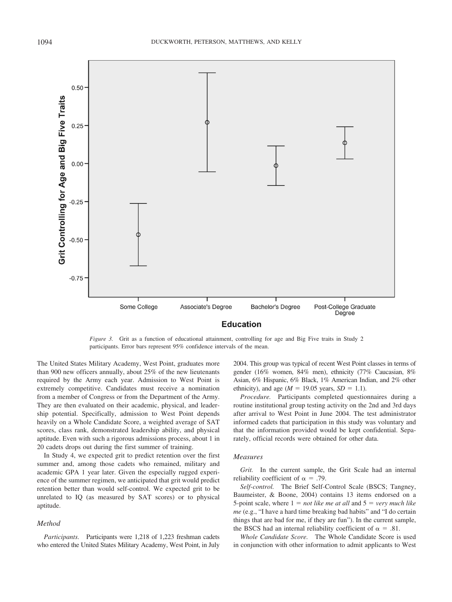

*Figure 3.* Grit as a function of educational attainment, controlling for age and Big Five traits in Study 2 participants. Error bars represent 95% confidence intervals of the mean.

The United States Military Academy, West Point, graduates more than 900 new officers annually, about 25% of the new lieutenants required by the Army each year. Admission to West Point is extremely competitive. Candidates must receive a nomination from a member of Congress or from the Department of the Army. They are then evaluated on their academic, physical, and leadership potential. Specifically, admission to West Point depends heavily on a Whole Candidate Score, a weighted average of SAT scores, class rank, demonstrated leadership ability, and physical aptitude. Even with such a rigorous admissions process, about 1 in 20 cadets drops out during the first summer of training.

In Study 4, we expected grit to predict retention over the first summer and, among those cadets who remained, military and academic GPA 1 year later. Given the especially rugged experience of the summer regimen, we anticipated that grit would predict retention better than would self-control. We expected grit to be unrelated to IQ (as measured by SAT scores) or to physical aptitude.

# *Method*

*Participants.* Participants were 1,218 of 1,223 freshman cadets who entered the United States Military Academy, West Point, in July

2004. This group was typical of recent West Point classes in terms of gender (16% women, 84% men), ethnicity (77% Caucasian, 8% Asian, 6% Hispanic, 6% Black, 1% American Indian, and 2% other ethnicity), and age ( $M = 19.05$  years,  $SD = 1.1$ ).

*Procedure.* Participants completed questionnaires during a routine institutional group testing activity on the 2nd and 3rd days after arrival to West Point in June 2004. The test administrator informed cadets that participation in this study was voluntary and that the information provided would be kept confidential. Separately, official records were obtained for other data.

#### *Measures*

*Grit.* In the current sample, the Grit Scale had an internal reliability coefficient of  $\alpha = .79$ .

*Self-control.* The Brief Self-Control Scale (BSCS; Tangney, Baumeister, & Boone, 2004) contains 13 items endorsed on a 5-point scale, where  $1 = not$  *like me at all* and  $5 = very$  *much like me* (e.g., "I have a hard time breaking bad habits" and "I do certain things that are bad for me, if they are fun"). In the current sample, the BSCS had an internal reliability coefficient of  $\alpha = .81$ .

*Whole Candidate Score.* The Whole Candidate Score is used in conjunction with other information to admit applicants to West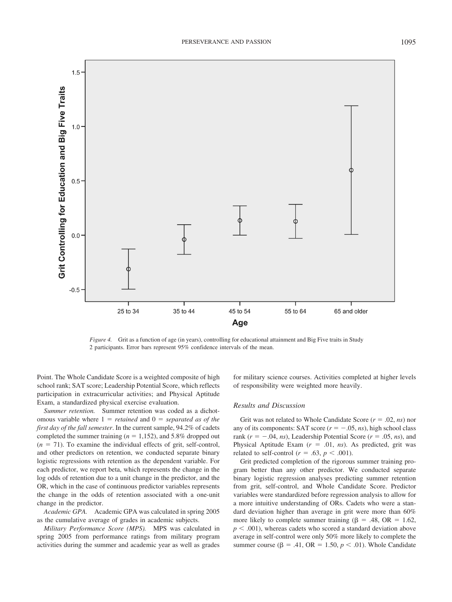

*Figure 4.* Grit as a function of age (in years), controlling for educational attainment and Big Five traits in Study 2 participants. Error bars represent 95% confidence intervals of the mean.

Point. The Whole Candidate Score is a weighted composite of high school rank; SAT score; Leadership Potential Score, which reflects participation in extracurricular activities; and Physical Aptitude Exam, a standardized physical exercise evaluation.

*Summer retention.* Summer retention was coded as a dichotomous variable where  $1 = retained$  and  $0 = separated$  as of the *first day of the fall semester*. In the current sample, 94.2% of cadets completed the summer training ( $n = 1,152$ ), and 5.8% dropped out  $(n = 71)$ . To examine the individual effects of grit, self-control, and other predictors on retention, we conducted separate binary logistic regressions with retention as the dependent variable. For each predictor, we report beta, which represents the change in the log odds of retention due to a unit change in the predictor, and the OR, which in the case of continuous predictor variables represents the change in the odds of retention associated with a one-unit change in the predictor.

*Academic GPA.* Academic GPA was calculated in spring 2005 as the cumulative average of grades in academic subjects.

*Military Performance Score (MPS).* MPS was calculated in spring 2005 from performance ratings from military program activities during the summer and academic year as well as grades for military science courses. Activities completed at higher levels of responsibility were weighted more heavily.

# *Results and Discussion*

Grit was not related to Whole Candidate Score  $(r = .02, ns)$  nor any of its components: SAT score  $(r = -.05, ns)$ , high school class rank  $(r = -.04, ns)$ , Leadership Potential Score  $(r = .05, ns)$ , and Physical Aptitude Exam  $(r = .01, ns)$ . As predicted, grit was related to self-control ( $r = .63$ ,  $p < .001$ ).

Grit predicted completion of the rigorous summer training program better than any other predictor. We conducted separate binary logistic regression analyses predicting summer retention from grit, self-control, and Whole Candidate Score. Predictor variables were standardized before regression analysis to allow for a more intuitive understanding of ORs. Cadets who were a standard deviation higher than average in grit were more than 60% more likely to complete summer training ( $\beta$  = .48, OR = 1.62,  $p < .001$ ), whereas cadets who scored a standard deviation above average in self-control were only 50% more likely to complete the summer course ( $\beta$  = .41, OR = 1.50,  $p < .01$ ). Whole Candidate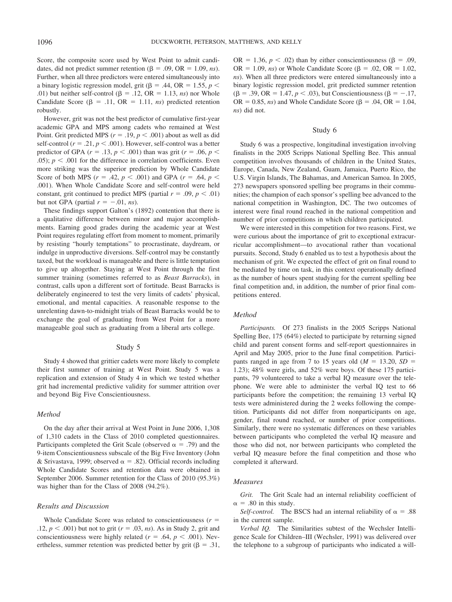Score, the composite score used by West Point to admit candidates, did not predict summer retention ( $\beta = .09$ , OR = 1.09, *ns*). Further, when all three predictors were entered simultaneously into a binary logistic regression model, grit ( $\beta$  = .44, OR = 1.55, *p* < .01) but neither self-control ( $\beta$  = .12, OR = 1.13, *ns*) nor Whole Candidate Score  $(\beta = .11, \text{ OR } = 1.11, \text{ ns})$  predicted retention robustly.

However, grit was not the best predictor of cumulative first-year academic GPA and MPS among cadets who remained at West Point. Grit predicted MPS ( $r = .19$ ,  $p < .001$ ) about as well as did self-control ( $r = .21$ ,  $p < .001$ ). However, self-control was a better predictor of GPA ( $r = .13$ ,  $p < .001$ ) than was grit ( $r = .06$ ,  $p <$ .05);  $p < .001$  for the difference in correlation coefficients. Even more striking was the superior prediction by Whole Candidate Score of both MPS ( $r = .42$ ,  $p < .001$ ) and GPA ( $r = .64$ ,  $p <$ .001). When Whole Candidate Score and self-control were held constant, grit continued to predict MPS (partial  $r = .09$ ,  $p < .01$ ) but not GPA (partial  $r = -.01$ , *ns*).

These findings support Galton's (1892) contention that there is a qualitative difference between minor and major accomplishments. Earning good grades during the academic year at West Point requires regulating effort from moment to moment, primarily by resisting "hourly temptations" to procrastinate, daydream, or indulge in unproductive diversions. Self-control may be constantly taxed, but the workload is manageable and there is little temptation to give up altogether. Staying at West Point through the first summer training (sometimes referred to as *Beast Barracks*), in contrast, calls upon a different sort of fortitude. Beast Barracks is deliberately engineered to test the very limits of cadets' physical, emotional, and mental capacities. A reasonable response to the unrelenting dawn-to-midnight trials of Beast Barracks would be to exchange the goal of graduating from West Point for a more manageable goal such as graduating from a liberal arts college.

## Study 5

Study 4 showed that grittier cadets were more likely to complete their first summer of training at West Point. Study 5 was a replication and extension of Study 4 in which we tested whether grit had incremental predictive validity for summer attrition over and beyond Big Five Conscientiousness.

#### *Method*

On the day after their arrival at West Point in June 2006, 1,308 of 1,310 cadets in the Class of 2010 completed questionnaires. Participants completed the Grit Scale (observed  $\alpha = .79$ ) and the 9-item Conscientiousness subscale of the Big Five Inventory (John & Srivastava, 1999; observed  $\alpha = .82$ ). Official records including Whole Candidate Scores and retention data were obtained in September 2006. Summer retention for the Class of 2010 (95.3%) was higher than for the Class of 2008 (94.2%).

# *Results and Discussion*

Whole Candidate Score was related to conscientiousness (*r* .12,  $p < .001$ ) but not to grit ( $r = .03$ , ns). As in Study 2, grit and conscientiousness were highly related ( $r = .64$ ,  $p < .001$ ). Nevertheless, summer retention was predicted better by grit ( $\beta = .31$ , OR = 1.36,  $p < .02$ ) than by either conscientiousness ( $\beta = .09$ ,  $OR = 1.09$ , *ns*) or Whole Candidate Score ( $\beta = .02$ ,  $OR = 1.02$ , *ns*). When all three predictors were entered simultaneously into a binary logistic regression model, grit predicted summer retention  $(\beta = .39, \text{ OR } = 1.47, p < .03)$ , but Conscientiousness ( $\beta = -.17$ ,  $OR = 0.85$ , *ns*) and Whole Candidate Score ( $\beta = .04$ , OR = 1.04, *ns*) did not.

#### Study 6

Study 6 was a prospective, longitudinal investigation involving finalists in the 2005 Scripps National Spelling Bee. This annual competition involves thousands of children in the United States, Europe, Canada, New Zealand, Guam, Jamaica, Puerto Rico, the U.S. Virgin Islands, The Bahamas, and American Samoa. In 2005, 273 newspapers sponsored spelling bee programs in their communities; the champion of each sponsor's spelling bee advanced to the national competition in Washington, DC. The two outcomes of interest were final round reached in the national competition and number of prior competitions in which children participated.

We were interested in this competition for two reasons. First, we were curious about the importance of grit to exceptional extracurricular accomplishment—to avocational rather than vocational pursuits. Second, Study 6 enabled us to test a hypothesis about the mechanism of grit. We expected the effect of grit on final round to be mediated by time on task, in this context operationally defined as the number of hours spent studying for the current spelling bee final competition and, in addition, the number of prior final competitions entered.

#### *Method*

*Participants.* Of 273 finalists in the 2005 Scripps National Spelling Bee, 175 (64%) elected to participate by returning signed child and parent consent forms and self-report questionnaires in April and May 2005, prior to the June final competition. Participants ranged in age from 7 to 15 years old  $(M = 13.20, SD =$ 1.23); 48% were girls, and 52% were boys. Of these 175 participants, 79 volunteered to take a verbal IQ measure over the telephone. We were able to administer the verbal IQ test to 66 participants before the competition; the remaining 13 verbal IQ tests were administered during the 2 weeks following the competition. Participants did not differ from nonparticipants on age, gender, final round reached, or number of prior competitions. Similarly, there were no systematic differences on these variables between participants who completed the verbal IQ measure and those who did not, nor between participants who completed the verbal IQ measure before the final competition and those who completed it afterward.

#### *Measures*

*Grit.* The Grit Scale had an internal reliability coefficient of  $\alpha = .80$  in this study.

*Self-control.* The BSCS had an internal reliability of  $\alpha = .88$ in the current sample.

*Verbal IQ.* The Similarities subtest of the Wechsler Intelligence Scale for Children–III (Wechsler, 1991) was delivered over the telephone to a subgroup of participants who indicated a will-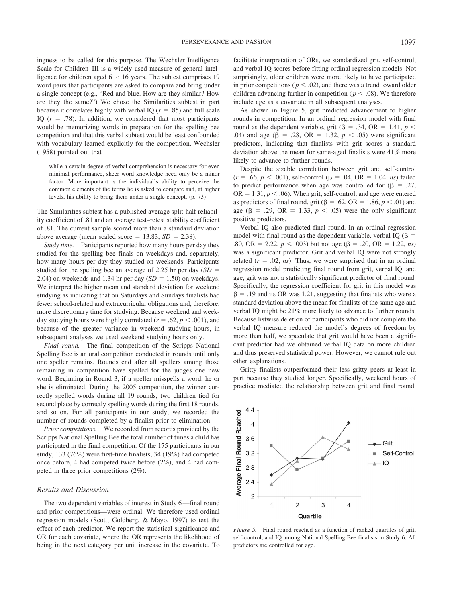ingness to be called for this purpose. The Wechsler Intelligence Scale for Children–III is a widely used measure of general intelligence for children aged 6 to 16 years. The subtest comprises 19 word pairs that participants are asked to compare and bring under a single concept (e.g., "Red and blue. How are they similar? How are they the same?") We chose the Similarities subtest in part because it correlates highly with verbal IQ  $(r = .85)$  and full scale IQ  $(r = .78)$ . In addition, we considered that most participants would be memorizing words in preparation for the spelling bee competition and that this verbal subtest would be least confounded with vocabulary learned explicitly for the competition. Wechsler (1958) pointed out that

while a certain degree of verbal comprehension is necessary for even minimal performance, sheer word knowledge need only be a minor factor. More important is the individual's ability to perceive the common elements of the terms he is asked to compare and, at higher levels, his ability to bring them under a single concept. (p. 73)

The Similarities subtest has a published average split-half reliability coefficient of .81 and an average test–retest stability coefficient of .81. The current sample scored more than a standard deviation above average (mean scaled score  $= 13.83$ ,  $SD = 2.38$ ).

*Study time.* Participants reported how many hours per day they studied for the spelling bee finals on weekdays and, separately, how many hours per day they studied on weekends. Participants studied for the spelling bee an average of 2.25 hr per day (*SD* 2.04) on weekends and 1.34 hr per day  $(SD = 1.50)$  on weekdays. We interpret the higher mean and standard deviation for weekend studying as indicating that on Saturdays and Sundays finalists had fewer school-related and extracurricular obligations and, therefore, more discretionary time for studying. Because weekend and weekday studying hours were highly correlated ( $r = .62$ ,  $p < .001$ ), and because of the greater variance in weekend studying hours, in subsequent analyses we used weekend studying hours only.

*Final round.* The final competition of the Scripps National Spelling Bee is an oral competition conducted in rounds until only one speller remains. Rounds end after all spellers among those remaining in competition have spelled for the judges one new word. Beginning in Round 3, if a speller misspells a word, he or she is eliminated. During the 2005 competition, the winner correctly spelled words during all 19 rounds, two children tied for second place by correctly spelling words during the first 18 rounds, and so on. For all participants in our study, we recorded the number of rounds completed by a finalist prior to elimination.

*Prior competitions.* We recorded from records provided by the Scripps National Spelling Bee the total number of times a child has participated in the final competition. Of the 175 participants in our study, 133 (76%) were first-time finalists, 34 (19%) had competed once before, 4 had competed twice before (2%), and 4 had competed in three prior competitions (2%).

# *Results and Discussion*

The two dependent variables of interest in Study 6—final round and prior competitions—were ordinal. We therefore used ordinal regression models (Scott, Goldberg, & Mayo, 1997) to test the effect of each predictor. We report the statistical significance and OR for each covariate, where the OR represents the likelihood of being in the next category per unit increase in the covariate. To

facilitate interpretation of ORs, we standardized grit, self-control, and verbal IQ scores before fitting ordinal regression models. Not surprisingly, older children were more likely to have participated in prior competitions ( $p < .02$ ), and there was a trend toward older children advancing farther in competition ( $p < .08$ ). We therefore include age as a covariate in all subsequent analyses.

As shown in Figure 5, grit predicted advancement to higher rounds in competition. In an ordinal regression model with final round as the dependent variable, grit ( $\beta$  = .34, OR = 1.41, *p* < .04) and age ( $\beta$  = .28, OR = 1.32,  $p < .05$ ) were significant predictors, indicating that finalists with grit scores a standard deviation above the mean for same-aged finalists were 41% more likely to advance to further rounds.

Despite the sizable correlation between grit and self-control  $(r = .66, p < .001)$ , self-control ( $\beta = .04$ , OR = 1.04, *ns*) failed to predict performance when age was controlled for  $(\beta = .27, )$  $OR = 1.31, p < .06$ ). When grit, self-control, and age were entered as predictors of final round, grit ( $\beta = .62$ ,  $OR = 1.86$ ,  $p < .01$ ) and age ( $\beta$  = .29, OR = 1.33,  $p < .05$ ) were the only significant positive predictors.

Verbal IQ also predicted final round. In an ordinal regression model with final round as the dependent variable, verbal IQ ( $\beta$  = .80, OR = 2.22,  $p < .003$ ) but not age ( $\beta$  = .20, OR = 1.22, *ns*) was a significant predictor. Grit and verbal IQ were not strongly related  $(r = .02, ns)$ . Thus, we were surprised that in an ordinal regression model predicting final round from grit, verbal IQ, and age, grit was not a statistically significant predictor of final round. Specifically, the regression coefficient for grit in this model was  $\beta$  = .19 and its OR was 1.21, suggesting that finalists who were a standard deviation above the mean for finalists of the same age and verbal IQ might be 21% more likely to advance to further rounds. Because listwise deletion of participants who did not complete the verbal IQ measure reduced the model's degrees of freedom by more than half, we speculate that grit would have been a significant predictor had we obtained verbal IQ data on more children and thus preserved statistical power. However, we cannot rule out other explanations.

Gritty finalists outperformed their less gritty peers at least in part because they studied longer. Specifically, weekend hours of practice mediated the relationship between grit and final round.



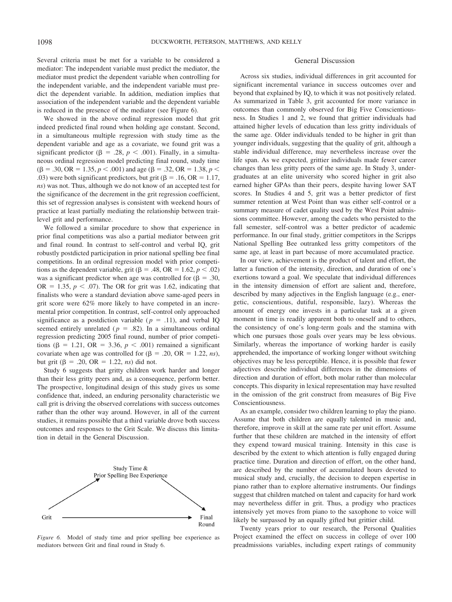Several criteria must be met for a variable to be considered a mediator: The independent variable must predict the mediator, the mediator must predict the dependent variable when controlling for the independent variable, and the independent variable must predict the dependent variable. In addition, mediation implies that association of the independent variable and the dependent variable is reduced in the presence of the mediator (see Figure 6).

We showed in the above ordinal regression model that grit indeed predicted final round when holding age constant. Second, in a simultaneous multiple regression with study time as the dependent variable and age as a covariate, we found grit was a significant predictor ( $\beta$  = .28,  $p$  < .001). Finally, in a simultaneous ordinal regression model predicting final round, study time  $(\beta = .30, \text{OR} = 1.35, p < .001)$  and age ( $\beta = .32, \text{OR} = 1.38, p < .001$ ) .03) were both significant predictors, but grit ( $\beta$  = .16, OR = 1.17, *ns*) was not. Thus, although we do not know of an accepted test for the significance of the decrement in the grit regression coefficient, this set of regression analyses is consistent with weekend hours of practice at least partially mediating the relationship between traitlevel grit and performance.

We followed a similar procedure to show that experience in prior final competitions was also a partial mediator between grit and final round. In contrast to self-control and verbal IQ, grit robustly postdicted participation in prior national spelling bee final competitions. In an ordinal regression model with prior competitions as the dependent variable, grit ( $\beta$  = .48, OR = 1.62, *p* < .02) was a significant predictor when age was controlled for  $(\beta = .30, ...)$ OR  $= 1.35$ ,  $p < .07$ ). The OR for grit was 1.62, indicating that finalists who were a standard deviation above same-aged peers in grit score were 62% more likely to have competed in an incremental prior competition. In contrast, self-control only approached significance as a postdiction variable ( $p = .11$ ), and verbal IQ seemed entirely unrelated ( $p = .82$ ). In a simultaneous ordinal regression predicting 2005 final round, number of prior competitions ( $\beta$  = 1.21, OR = 3.36,  $p < .001$ ) remained a significant covariate when age was controlled for  $(\beta = .20, \text{ OR } = 1.22, \text{ ns})$ , but grit ( $β = .20$ , OR = 1.22, *ns*) did not.

Study 6 suggests that gritty children work harder and longer than their less gritty peers and, as a consequence, perform better. The prospective, longitudinal design of this study gives us some confidence that, indeed, an enduring personality characteristic we call grit is driving the observed correlations with success outcomes rather than the other way around. However, in all of the current studies, it remains possible that a third variable drove both success outcomes and responses to the Grit Scale. We discuss this limitation in detail in the General Discussion.



*Figure 6.* Model of study time and prior spelling bee experience as mediators between Grit and final round in Study 6.

# General Discussion

Across six studies, individual differences in grit accounted for significant incremental variance in success outcomes over and beyond that explained by IQ, to which it was not positively related. As summarized in Table 3, grit accounted for more variance in outcomes than commonly observed for Big Five Conscientiousness. In Studies 1 and 2, we found that grittier individuals had attained higher levels of education than less gritty individuals of the same age. Older individuals tended to be higher in grit than younger individuals, suggesting that the quality of grit, although a stable individual difference, may nevertheless increase over the life span. As we expected, grittier individuals made fewer career changes than less gritty peers of the same age. In Study 3, undergraduates at an elite university who scored higher in grit also earned higher GPAs than their peers, despite having lower SAT scores. In Studies 4 and 5, grit was a better predictor of first summer retention at West Point than was either self-control or a summary measure of cadet quality used by the West Point admissions committee. However, among the cadets who persisted to the fall semester, self-control was a better predictor of academic performance. In our final study, grittier competitors in the Scripps National Spelling Bee outranked less gritty competitors of the same age, at least in part because of more accumulated practice.

In our view, achievement is the product of talent and effort, the latter a function of the intensity, direction, and duration of one's exertions toward a goal. We speculate that individual differences in the intensity dimension of effort are salient and, therefore, described by many adjectives in the English language (e.g., energetic, conscientious, dutiful, responsible, lazy). Whereas the amount of energy one invests in a particular task at a given moment in time is readily apparent both to oneself and to others, the consistency of one's long-term goals and the stamina with which one pursues those goals over years may be less obvious. Similarly, whereas the importance of working harder is easily apprehended, the importance of working longer without switching objectives may be less perceptible. Hence, it is possible that fewer adjectives describe individual differences in the dimensions of direction and duration of effort, both molar rather than molecular concepts. This disparity in lexical representation may have resulted in the omission of the grit construct from measures of Big Five Conscientiousness.

As an example, consider two children learning to play the piano. Assume that both children are equally talented in music and, therefore, improve in skill at the same rate per unit effort. Assume further that these children are matched in the intensity of effort they expend toward musical training. Intensity in this case is described by the extent to which attention is fully engaged during practice time. Duration and direction of effort, on the other hand, are described by the number of accumulated hours devoted to musical study and, crucially, the decision to deepen expertise in piano rather than to explore alternative instruments. Our findings suggest that children matched on talent and capacity for hard work may nevertheless differ in grit. Thus, a prodigy who practices intensively yet moves from piano to the saxophone to voice will likely be surpassed by an equally gifted but grittier child.

Twenty years prior to our research, the Personal Qualities Project examined the effect on success in college of over 100 preadmissions variables, including expert ratings of community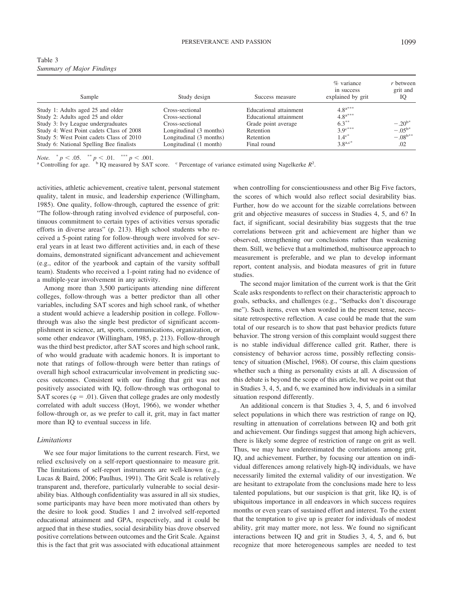| Table 3                   |  |
|---------------------------|--|
| Summary of Major Findings |  |

| Sample                                                                                                                                                                                                                                           | Study design                                                                                                                          | Success measure                                                                                                  | % variance<br>in success<br>explained by grit                                           | $r$ between<br>grit and<br>IQ                     |
|--------------------------------------------------------------------------------------------------------------------------------------------------------------------------------------------------------------------------------------------------|---------------------------------------------------------------------------------------------------------------------------------------|------------------------------------------------------------------------------------------------------------------|-----------------------------------------------------------------------------------------|---------------------------------------------------|
| Study 1: Adults aged 25 and older<br>Study 2: Adults aged 25 and older<br>Study 3: Ivy League undergraduates<br>Study 4: West Point cadets Class of 2008<br>Study 5: West Point cadets Class of 2010<br>Study 6: National Spelling Bee finalists | Cross-sectional<br>Cross-sectional<br>Cross-sectional<br>Longitudinal (3 months)<br>Longitudinal (3 months)<br>Longitudinal (1 month) | Educational attainment<br>Educational attainment<br>Grade point average<br>Retention<br>Retention<br>Final round | $4.8^{a***}$<br>$4.8^{a***}$<br>$6.3***$<br>$3.9^{c***}$<br>$1.4^\circ$<br>$3.8^{a,c*}$ | $-.20^{b*}$<br>$-.05^{b*}$<br>$-.08^{b**}$<br>.02 |

*Note.*  $* p < .05$ .  $* p < .01$ .  $* p < .001$ .<br> **A** Controlling for age. b IQ measured by SAT score. c Percentage of variance estimated using Nagelkerke *R*<sup>2</sup>.

activities, athletic achievement, creative talent, personal statement quality, talent in music, and leadership experience (Willingham, 1985). One quality, follow-through, captured the essence of grit: "The follow-through rating involved evidence of purposeful, continuous commitment to certain types of activities versus sporadic efforts in diverse areas" (p. 213). High school students who received a 5-point rating for follow-through were involved for several years in at least two different activities and, in each of these domains, demonstrated significant advancement and achievement (e.g., editor of the yearbook and captain of the varsity softball team). Students who received a 1-point rating had no evidence of a multiple-year involvement in any activity.

Among more than 3,500 participants attending nine different colleges, follow-through was a better predictor than all other variables, including SAT scores and high school rank, of whether a student would achieve a leadership position in college. Followthrough was also the single best predictor of significant accomplishment in science, art, sports, communications, organization, or some other endeavor (Willingham, 1985, p. 213). Follow-through was the third best predictor, after SAT scores and high school rank, of who would graduate with academic honors. It is important to note that ratings of follow-through were better than ratings of overall high school extracurricular involvement in predicting success outcomes. Consistent with our finding that grit was not positively associated with IQ, follow-through was orthogonal to SAT scores ( $\varphi = .01$ ). Given that college grades are only modestly correlated with adult success (Hoyt, 1966), we wonder whether follow-through or, as we prefer to call it, grit, may in fact matter more than IQ to eventual success in life.

# *Limitations*

We see four major limitations to the current research. First, we relied exclusively on a self-report questionnaire to measure grit. The limitations of self-report instruments are well-known (e.g., Lucas & Baird, 2006; Paulhus, 1991). The Grit Scale is relatively transparent and, therefore, particularly vulnerable to social desirability bias. Although confidentiality was assured in all six studies, some participants may have been more motivated than others by the desire to look good. Studies 1 and 2 involved self-reported educational attainment and GPA, respectively, and it could be argued that in these studies, social desirability bias drove observed positive correlations between outcomes and the Grit Scale. Against this is the fact that grit was associated with educational attainment when controlling for conscientiousness and other Big Five factors, the scores of which would also reflect social desirability bias. Further, how do we account for the sizable correlations between grit and objective measures of success in Studies 4, 5, and 6? In fact, if significant, social desirability bias suggests that the true correlations between grit and achievement are higher than we observed, strengthening our conclusions rather than weakening them. Still, we believe that a multimethod, multisource approach to measurement is preferable, and we plan to develop informant report, content analysis, and biodata measures of grit in future studies.

The second major limitation of the current work is that the Grit Scale asks respondents to reflect on their characteristic approach to goals, setbacks, and challenges (e.g., "Setbacks don't discourage me"). Such items, even when worded in the present tense, necessitate retrospective reflection. A case could be made that the sum total of our research is to show that past behavior predicts future behavior. The strong version of this complaint would suggest there is no stable individual difference called grit. Rather, there is consistency of behavior across time, possibly reflecting consistency of situation (Mischel, 1968). Of course, this claim questions whether such a thing as personality exists at all. A discussion of this debate is beyond the scope of this article, but we point out that in Studies 3, 4, 5, and 6, we examined how individuals in a similar situation respond differently.

An additional concern is that Studies 3, 4, 5, and 6 involved select populations in which there was restriction of range on IQ, resulting in attenuation of correlations between IQ and both grit and achievement. Our findings suggest that among high achievers, there is likely some degree of restriction of range on grit as well. Thus, we may have underestimated the correlations among grit, IQ, and achievement. Further, by focusing our attention on individual differences among relatively high-IQ individuals, we have necessarily limited the external validity of our investigation. We are hesitant to extrapolate from the conclusions made here to less talented populations, but our suspicion is that grit, like IQ, is of ubiquitous importance in all endeavors in which success requires months or even years of sustained effort and interest. To the extent that the temptation to give up is greater for individuals of modest ability, grit may matter more, not less. We found no significant interactions between IQ and grit in Studies 3, 4, 5, and 6, but recognize that more heterogeneous samples are needed to test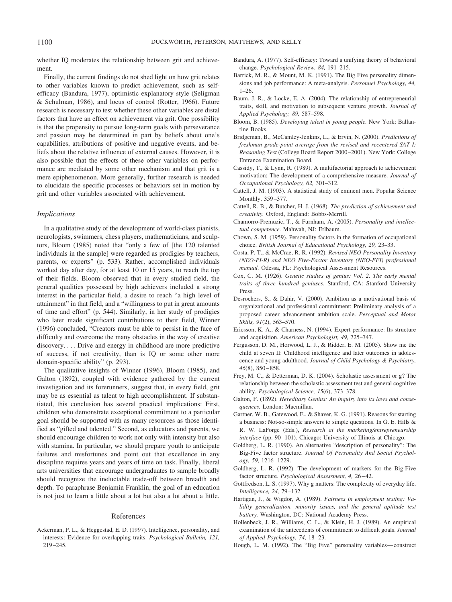whether IQ moderates the relationship between grit and achievement.

Finally, the current findings do not shed light on how grit relates to other variables known to predict achievement, such as selfefficacy (Bandura, 1977), optimistic explanatory style (Seligman & Schulman, 1986), and locus of control (Rotter, 1966). Future research is necessary to test whether these other variables are distal factors that have an effect on achievement via grit. One possibility is that the propensity to pursue long-term goals with perseverance and passion may be determined in part by beliefs about one's capabilities, attributions of positive and negative events, and beliefs about the relative influence of external causes. However, it is also possible that the effects of these other variables on performance are mediated by some other mechanism and that grit is a mere epiphenomenon. More generally, further research is needed to elucidate the specific processes or behaviors set in motion by grit and other variables associated with achievement.

#### *Implications*

In a qualitative study of the development of world-class pianists, neurologists, swimmers, chess players, mathematicians, and sculptors, Bloom (1985) noted that "only a few of [the 120 talented individuals in the sample] were regarded as prodigies by teachers, parents, or experts" (p. 533). Rather, accomplished individuals worked day after day, for at least 10 or 15 years, to reach the top of their fields. Bloom observed that in every studied field, the general qualities possessed by high achievers included a strong interest in the particular field, a desire to reach "a high level of attainment" in that field, and a "willingness to put in great amounts of time and effort" (p. 544). Similarly, in her study of prodigies who later made significant contributions to their field, Winner (1996) concluded, "Creators must be able to persist in the face of difficulty and overcome the many obstacles in the way of creative discovery.... Drive and energy in childhood are more predictive of success, if not creativity, than is IQ or some other more domain-specific ability" (p. 293).

The qualitative insights of Winner (1996), Bloom (1985), and Galton (1892), coupled with evidence gathered by the current investigation and its forerunners, suggest that, in every field, grit may be as essential as talent to high accomplishment. If substantiated, this conclusion has several practical implications: First, children who demonstrate exceptional commitment to a particular goal should be supported with as many resources as those identified as "gifted and talented." Second, as educators and parents, we should encourage children to work not only with intensity but also with stamina. In particular, we should prepare youth to anticipate failures and misfortunes and point out that excellence in any discipline requires years and years of time on task. Finally, liberal arts universities that encourage undergraduates to sample broadly should recognize the ineluctable trade-off between breadth and depth. To paraphrase Benjamin Franklin, the goal of an education is not just to learn a little about a lot but also a lot about a little.

#### References

Ackerman, P. L., & Heggestad, E. D. (1997). Intelligence, personality, and interests: Evidence for overlapping traits. *Psychological Bulletin, 121,* 219 –245.

- Bandura, A. (1977). Self-efficacy: Toward a unifying theory of behavioral change. *Psychological Review, 84,* 191–215.
- Barrick, M. R., & Mount, M. K. (1991). The Big Five personality dimensions and job performance: A meta-analysis. *Personnel Psychology, 44,* 1–26.
- Baum, J. R., & Locke, E. A. (2004). The relationship of entrepreneurial traits, skill, and motivation to subsequent venture growth. *Journal of Applied Psychology, 89,* 587–598.
- Bloom, B. (1985). *Developing talent in young people.* New York: Ballantine Books.
- Bridgeman, B., McCamley-Jenkins, L., & Ervin, N. (2000). *Predictions of freshman grade-point average from the revised and recentered SAT I: Reasoning Test* (College Board Report 2000 –2001). New York: College Entrance Examination Board.
- Cassidy, T., & Lynn, R. (1989). A multifactorial approach to achievement motivation: The development of a comprehensive measure. *Journal of Occupational Psychology, 62,* 301–312.
- Cattell, J. M. (1903). A statistical study of eminent men. Popular Science Monthly, 359-377.
- Cattell, R. B., & Butcher, H. J. (1968). *The prediction of achievement and creativity.* Oxford, England: Bobbs-Merrill.
- Chamorro-Premuzic, T., & Furnham, A. (2005). *Personality and intellectual competence.* Mahwah, NJ: Erlbaum.
- Chown, S. M. (1959). Personality factors in the formation of occupational choice. *British Journal of Educational Psychology, 29,* 23–33.
- Costa, P. T., & McCrae, R. R. (1992). *Revised NEO Personality Inventory (NEO-PI-R) and NEO Five-Factor Inventory (NEO-FFI) professional manual.* Odessa, FL: Psychological Assessment Resources.
- Cox, C. M. (1926). *Genetic studies of genius: Vol. 2. The early mental traits of three hundred geniuses.* Stanford, CA: Stanford University Press.
- Desrochers, S., & Dahir, V. (2000). Ambition as a motivational basis of organizational and professional commitment: Preliminary analysis of a proposed career advancement ambition scale. *Perceptual and Motor Skills, 91*(2), 563–570.
- Ericsson, K. A., & Charness, N. (1994). Expert performance: Its structure and acquisition. *American Psychologist, 49,* 725–747.
- Fergusson, D. M., Horwood, L. J., & Ridder, E. M. (2005). Show me the child at seven II: Childhood intelligence and later outcomes in adolescence and young adulthood. *Journal of Child Psychology & Psychiatry, 46*(8), 850 – 858.
- Frey, M. C., & Detterman, D. K. (2004). Scholastic assessment or g? The relationship between the scholastic assessment test and general cognitive ability. *Psychological Science, 15*(6), 373–378.
- Galton, F. (1892). *Hereditary Genius: An inquiry into its laws and consequences.* London: Macmillan.
- Gartner, W. B., Gatewood, E., & Shaver, K. G. (1991). Reasons for starting a business: Not-so-simple answers to simple questions. In G. E. Hills & R. W. LaForge (Eds.), *Research at the marketing/entrepreneurship interface* (pp. 90–101). Chicago: University of Illinois at Chicago.
- Goldberg, L. R. (1990). An alternative "description of personality": The Big-Five factor structure. *Journal Of Personality And Social Psychology, 59,* 1216 –1229.
- Goldberg, L. R. (1992). The development of markers for the Big-Five factor structure. *Psychological Assessment, 4,* 26 – 42.
- Gottfredson, L. S. (1997). Why g matters: The complexity of everyday life. *Intelligence, 24,* 79 –132.
- Hartigan, J., & Wigdor, A. (1989). *Fairness in employment testing: Validity generalization, minority issues, and the general aptitude test battery.* Washington, DC: National Academy Press.
- Hollenbeck, J. R., Williams, C. L., & Klein, H. J. (1989). An empirical examination of the antecedents of commitment to difficult goals. *Journal of Applied Psychology, 74,* 18 –23.
- Hough, L. M. (1992). The "Big Five" personality variables— construct